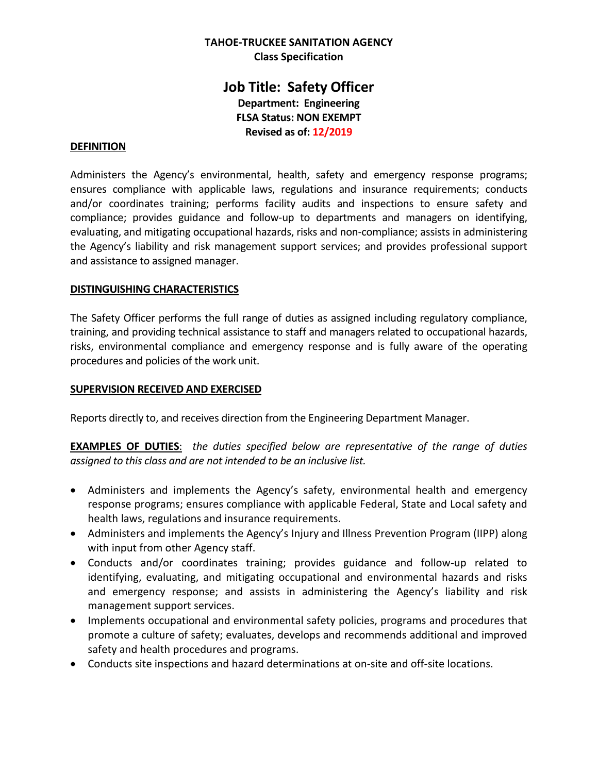## **TAHOE-TRUCKEE SANITATION AGENCY Class Specification**

# **Job Title: Safety Officer Department: Engineering FLSA Status: NON EXEMPT Revised as of: 12/2019**

#### **DEFINITION**

Administers the Agency's environmental, health, safety and emergency response programs; ensures compliance with applicable laws, regulations and insurance requirements; conducts and/or coordinates training; performs facility audits and inspections to ensure safety and compliance; provides guidance and follow-up to departments and managers on identifying, evaluating, and mitigating occupational hazards, risks and non-compliance; assists in administering the Agency's liability and risk management support services; and provides professional support and assistance to assigned manager.

#### **DISTINGUISHING CHARACTERISTICS**

The Safety Officer performs the full range of duties as assigned including regulatory compliance, training, and providing technical assistance to staff and managers related to occupational hazards, risks, environmental compliance and emergency response and is fully aware of the operating procedures and policies of the work unit.

#### **SUPERVISION RECEIVED AND EXERCISED**

Reports directly to, and receives direction from the Engineering Department Manager.

**EXAMPLES OF DUTIES**: *the duties specified below are representative of the range of duties assigned to this class and are not intended to be an inclusive list.* 

- Administers and implements the Agency's safety, environmental health and emergency response programs; ensures compliance with applicable Federal, State and Local safety and health laws, regulations and insurance requirements.
- Administers and implements the Agency's Injury and Illness Prevention Program (IIPP) along with input from other Agency staff.
- Conducts and/or coordinates training; provides guidance and follow-up related to identifying, evaluating, and mitigating occupational and environmental hazards and risks and emergency response; and assists in administering the Agency's liability and risk management support services.
- Implements occupational and environmental safety policies, programs and procedures that promote a culture of safety; evaluates, develops and recommends additional and improved safety and health procedures and programs.
- Conducts site inspections and hazard determinations at on-site and off-site locations.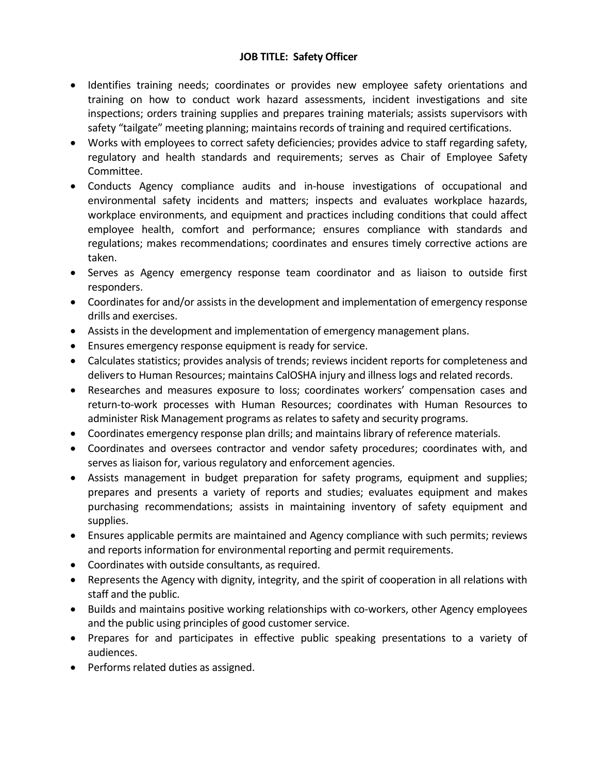# **JOB TITLE: Safety Officer**

- Identifies training needs; coordinates or provides new employee safety orientations and training on how to conduct work hazard assessments, incident investigations and site inspections; orders training supplies and prepares training materials; assists supervisors with safety "tailgate" meeting planning; maintains records of training and required certifications.
- Works with employees to correct safety deficiencies; provides advice to staff regarding safety, regulatory and health standards and requirements; serves as Chair of Employee Safety Committee.
- Conducts Agency compliance audits and in-house investigations of occupational and environmental safety incidents and matters; inspects and evaluates workplace hazards, workplace environments, and equipment and practices including conditions that could affect employee health, comfort and performance; ensures compliance with standards and regulations; makes recommendations; coordinates and ensures timely corrective actions are taken.
- Serves as Agency emergency response team coordinator and as liaison to outside first responders.
- Coordinates for and/or assists in the development and implementation of emergency response drills and exercises.
- Assists in the development and implementation of emergency management plans.
- Ensures emergency response equipment is ready for service.
- Calculates statistics; provides analysis of trends; reviews incident reports for completeness and delivers to Human Resources; maintains CalOSHA injury and illness logs and related records.
- Researches and measures exposure to loss; coordinates workers' compensation cases and return-to-work processes with Human Resources; coordinates with Human Resources to administer Risk Management programs as relates to safety and security programs.
- Coordinates emergency response plan drills; and maintains library of reference materials.
- Coordinates and oversees contractor and vendor safety procedures; coordinates with, and serves as liaison for, various regulatory and enforcement agencies.
- Assists management in budget preparation for safety programs, equipment and supplies; prepares and presents a variety of reports and studies; evaluates equipment and makes purchasing recommendations; assists in maintaining inventory of safety equipment and supplies.
- Ensures applicable permits are maintained and Agency compliance with such permits; reviews and reports information for environmental reporting and permit requirements.
- Coordinates with outside consultants, as required.
- Represents the Agency with dignity, integrity, and the spirit of cooperation in all relations with staff and the public.
- Builds and maintains positive working relationships with co-workers, other Agency employees and the public using principles of good customer service.
- Prepares for and participates in effective public speaking presentations to a variety of audiences.
- Performs related duties as assigned.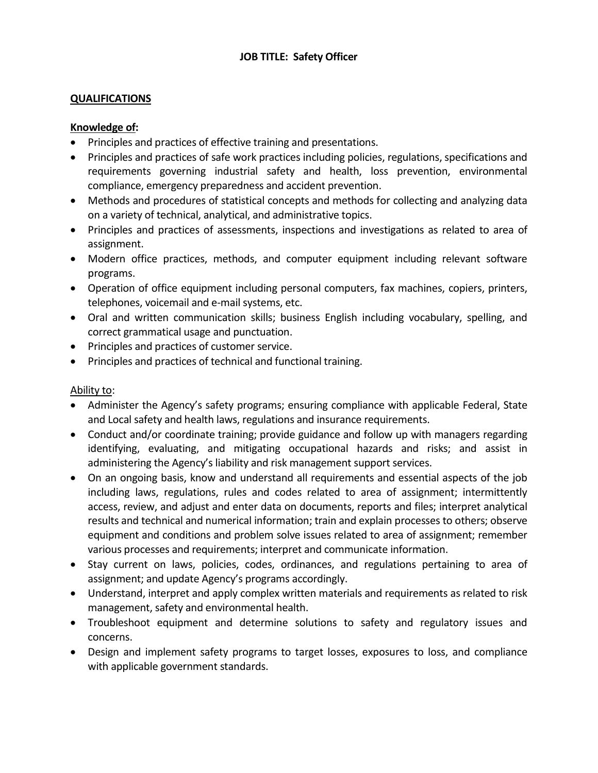# **JOB TITLE: Safety Officer**

## **QUALIFICATIONS**

## **Knowledge of:**

- Principles and practices of effective training and presentations.
- Principles and practices of safe work practices including policies, regulations, specifications and requirements governing industrial safety and health, loss prevention, environmental compliance, emergency preparedness and accident prevention.
- Methods and procedures of statistical concepts and methods for collecting and analyzing data on a variety of technical, analytical, and administrative topics.
- Principles and practices of assessments, inspections and investigations as related to area of assignment.
- Modern office practices, methods, and computer equipment including relevant software programs.
- Operation of office equipment including personal computers, fax machines, copiers, printers, telephones, voicemail and e-mail systems, etc.
- Oral and written communication skills; business English including vocabulary, spelling, and correct grammatical usage and punctuation.
- Principles and practices of customer service.
- Principles and practices of technical and functional training.

#### Ability to:

- Administer the Agency's safety programs; ensuring compliance with applicable Federal, State and Local safety and health laws, regulations and insurance requirements.
- Conduct and/or coordinate training; provide guidance and follow up with managers regarding identifying, evaluating, and mitigating occupational hazards and risks; and assist in administering the Agency's liability and risk management support services.
- On an ongoing basis, know and understand all requirements and essential aspects of the job including laws, regulations, rules and codes related to area of assignment; intermittently access, review, and adjust and enter data on documents, reports and files; interpret analytical results and technical and numerical information; train and explain processes to others; observe equipment and conditions and problem solve issues related to area of assignment; remember various processes and requirements; interpret and communicate information.
- Stay current on laws, policies, codes, ordinances, and regulations pertaining to area of assignment; and update Agency's programs accordingly.
- Understand, interpret and apply complex written materials and requirements as related to risk management, safety and environmental health.
- Troubleshoot equipment and determine solutions to safety and regulatory issues and concerns.
- Design and implement safety programs to target losses, exposures to loss, and compliance with applicable government standards.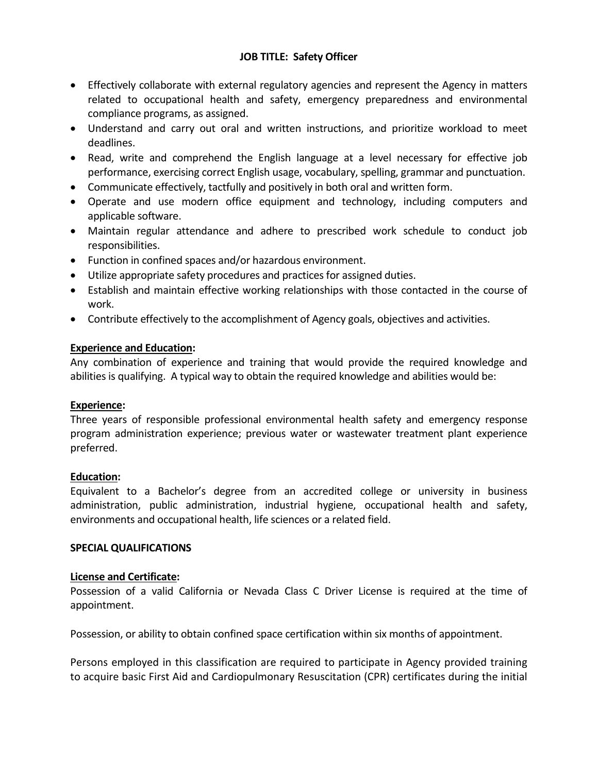# **JOB TITLE: Safety Officer**

- Effectively collaborate with external regulatory agencies and represent the Agency in matters related to occupational health and safety, emergency preparedness and environmental compliance programs, as assigned.
- Understand and carry out oral and written instructions, and prioritize workload to meet deadlines.
- Read, write and comprehend the English language at a level necessary for effective job performance, exercising correct English usage, vocabulary, spelling, grammar and punctuation.
- Communicate effectively, tactfully and positively in both oral and written form.
- Operate and use modern office equipment and technology, including computers and applicable software.
- Maintain regular attendance and adhere to prescribed work schedule to conduct job responsibilities.
- Function in confined spaces and/or hazardous environment.
- Utilize appropriate safety procedures and practices for assigned duties.
- Establish and maintain effective working relationships with those contacted in the course of work.
- Contribute effectively to the accomplishment of Agency goals, objectives and activities.

#### **Experience and Education:**

Any combination of experience and training that would provide the required knowledge and abilities is qualifying. A typical way to obtain the required knowledge and abilities would be:

#### **Experience:**

Three years of responsible professional environmental health safety and emergency response program administration experience; previous water or wastewater treatment plant experience preferred.

#### **Education:**

Equivalent to a Bachelor's degree from an accredited college or university in business administration, public administration, industrial hygiene, occupational health and safety, environments and occupational health, life sciences or a related field.

#### **SPECIAL QUALIFICATIONS**

#### **License and Certificate:**

Possession of a valid California or Nevada Class C Driver License is required at the time of appointment.

Possession, or ability to obtain confined space certification within six months of appointment.

Persons employed in this classification are required to participate in Agency provided training to acquire basic First Aid and Cardiopulmonary Resuscitation (CPR) certificates during the initial